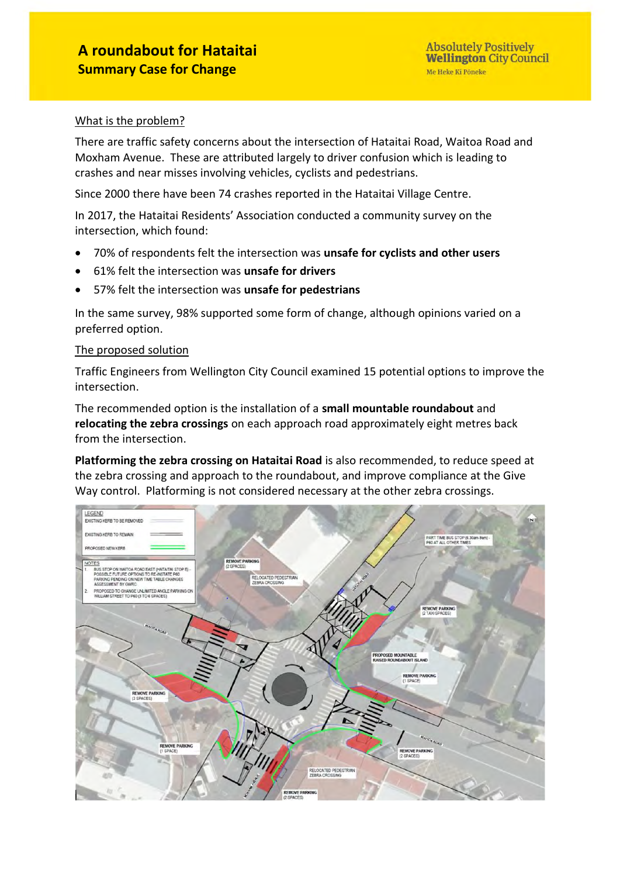#### What is the problem?

There are traffic safety concerns about the intersection of Hataitai Road, Waitoa Road and Moxham Avenue. These are attributed largely to driver confusion which is leading to crashes and near misses involving vehicles, cyclists and pedestrians.

Since 2000 there have been 74 crashes reported in the Hataitai Village Centre.

In 2017, the Hataitai Residents' Association conducted a community survey on the intersection, which found:

- 70% of respondents felt the intersection was **unsafe for cyclists and other users**
- 61% felt the intersection was **unsafe for drivers**
- 57% felt the intersection was **unsafe for pedestrians**

In the same survey, 98% supported some form of change, although opinions varied on a preferred option.

#### The proposed solution

Traffic Engineers from Wellington City Council examined 15 potential options to improve the intersection.

The recommended option is the installation of a **small mountable roundabout** and **relocating the zebra crossings** on each approach road approximately eight metres back from the intersection.

**Platforming the zebra crossing on Hataitai Road** is also recommended, to reduce speed at the zebra crossing and approach to the roundabout, and improve compliance at the Give Way control. Platforming is not considered necessary at the other zebra crossings.